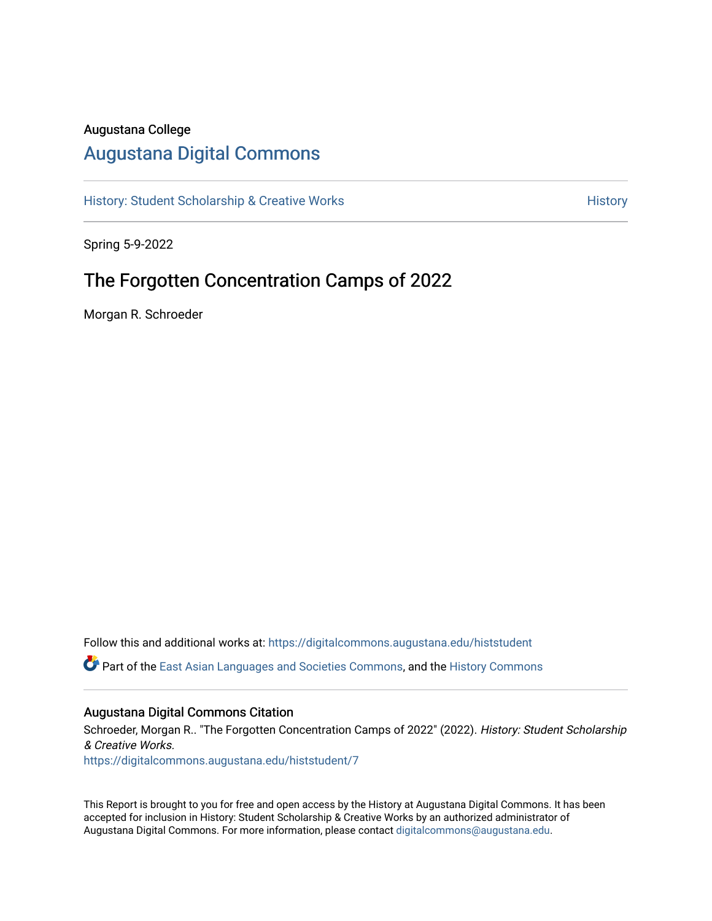### Augustana College

## [Augustana Digital Commons](https://digitalcommons.augustana.edu/)

[History: Student Scholarship & Creative Works](https://digitalcommons.augustana.edu/histstudent) **History** History

Spring 5-9-2022

## The Forgotten Concentration Camps of 2022

Morgan R. Schroeder

Follow this and additional works at: [https://digitalcommons.augustana.edu/histstudent](https://digitalcommons.augustana.edu/histstudent?utm_source=digitalcommons.augustana.edu%2Fhiststudent%2F7&utm_medium=PDF&utm_campaign=PDFCoverPages) 

Part of the [East Asian Languages and Societies Commons,](http://network.bepress.com/hgg/discipline/481?utm_source=digitalcommons.augustana.edu%2Fhiststudent%2F7&utm_medium=PDF&utm_campaign=PDFCoverPages) and the [History Commons](http://network.bepress.com/hgg/discipline/489?utm_source=digitalcommons.augustana.edu%2Fhiststudent%2F7&utm_medium=PDF&utm_campaign=PDFCoverPages)

#### Augustana Digital Commons Citation

Schroeder, Morgan R.. "The Forgotten Concentration Camps of 2022" (2022). History: Student Scholarship & Creative Works.

[https://digitalcommons.augustana.edu/histstudent/7](https://digitalcommons.augustana.edu/histstudent/7?utm_source=digitalcommons.augustana.edu%2Fhiststudent%2F7&utm_medium=PDF&utm_campaign=PDFCoverPages) 

This Report is brought to you for free and open access by the History at Augustana Digital Commons. It has been accepted for inclusion in History: Student Scholarship & Creative Works by an authorized administrator of Augustana Digital Commons. For more information, please contact [digitalcommons@augustana.edu](mailto:digitalcommons@augustana.edu).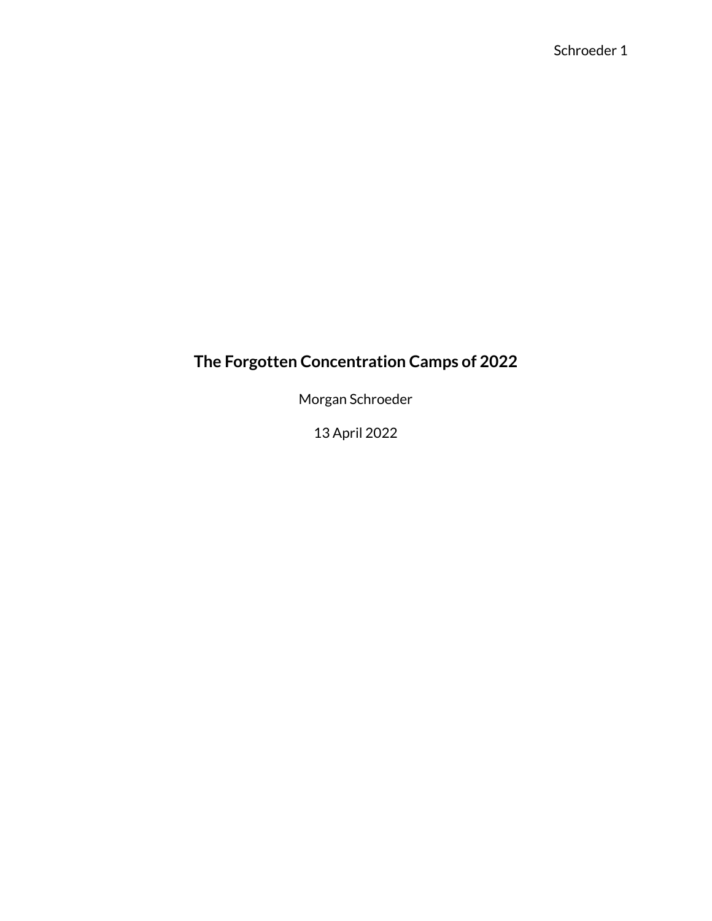# **The Forgotten Concentration Camps of 2022**

Morgan Schroeder

13 April 2022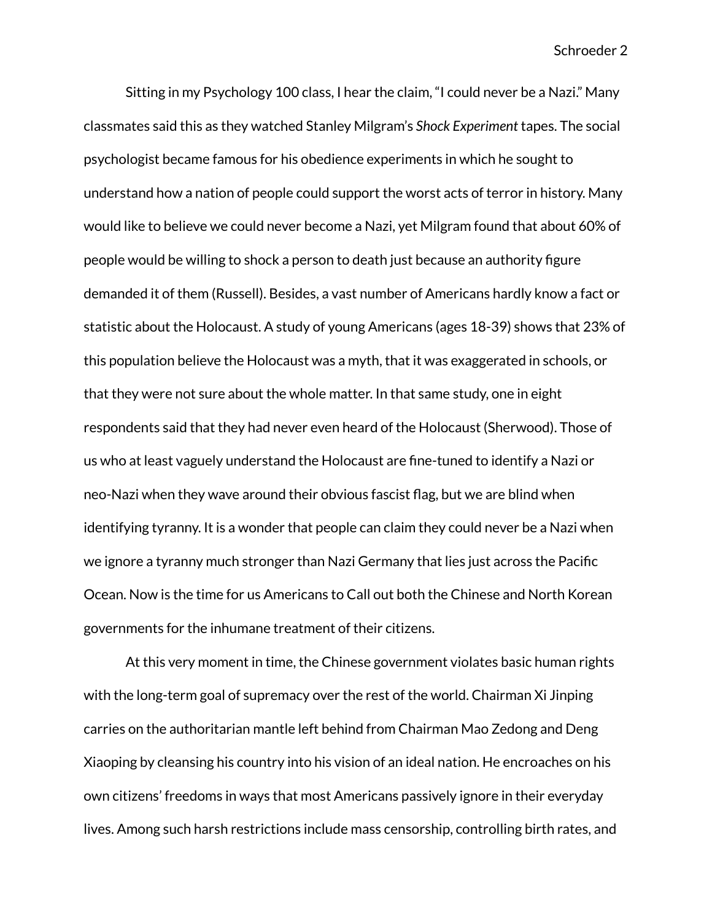Sitting in my Psychology 100 class, I hear the claim, "I could never be a Nazi." Many classmates said this as they watched Stanley Milgram's *Shock Experiment* tapes. The social psychologist became famous for his obedience experiments in which he sought to understand how a nation of people could support the worst acts of terror in history. Many would like to believe we could never become a Nazi, yet Milgram found that about 60% of people would be willing to shock a person to death just because an authority figure demanded it of them (Russell). Besides, a vast number of Americans hardly know a fact or statistic about the Holocaust. A study of young Americans (ages 18-39) shows that 23% of this population believe the Holocaust was a myth, that it was exaggerated in schools, or that they were not sure about the whole matter. In that same study, one in eight respondents said that they had never even heard of the Holocaust (Sherwood). Those of us who at least vaguely understand the Holocaust are fine-tuned to identify a Nazi or neo-Nazi when they wave around their obvious fascist flag, but we are blind when identifying tyranny. It is a wonder that people can claim they could never be a Nazi when we ignore a tyranny much stronger than Nazi Germany that lies just across the Pacific Ocean. Now is the time for us Americans to Call out both the Chinese and North Korean governments for the inhumane treatment of their citizens.

At this very moment in time, the Chinese government violates basic human rights with the long-term goal of supremacy over the rest of the world. Chairman Xi Jinping carries on the authoritarian mantle left behind from Chairman Mao Zedong and Deng Xiaoping by cleansing his country into his vision of an ideal nation. He encroaches on his own citizens' freedoms in ways that most Americans passively ignore in their everyday lives. Among such harsh restrictions include mass censorship, controlling birth rates, and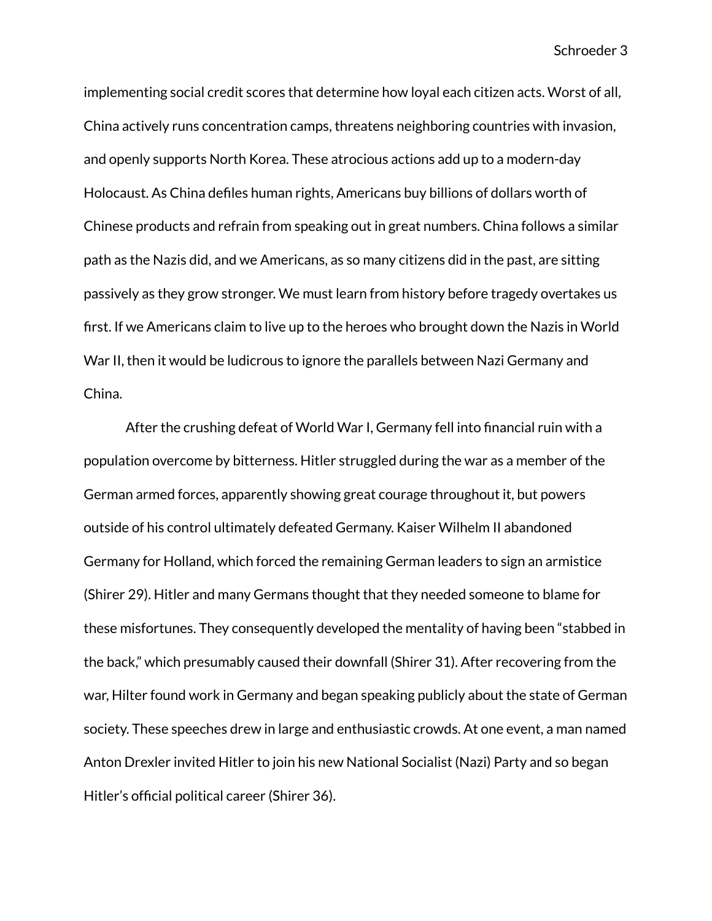implementing social credit scores that determine how loyal each citizen acts. Worst of all, China actively runs concentration camps, threatens neighboring countries with invasion, and openly supports North Korea. These atrocious actions add up to a modern-day Holocaust. As China defiles human rights, Americans buy billions of dollars worth of Chinese products and refrain from speaking out in great numbers. China follows a similar path as the Nazis did, and we Americans, as so many citizens did in the past, are sitting passively as they grow stronger. We must learn from history before tragedy overtakes us first. If we Americans claim to live up to the heroes who brought down the Nazis in World War II, then it would be ludicrous to ignore the parallels between Nazi Germany and China.

After the crushing defeat of World War I, Germany fell into financial ruin with a population overcome by bitterness. Hitler struggled during the war as a member of the German armed forces, apparently showing great courage throughout it, but powers outside of his control ultimately defeated Germany. Kaiser Wilhelm II abandoned Germany for Holland, which forced the remaining German leaders to sign an armistice (Shirer 29). Hitler and many Germans thought that they needed someone to blame for these misfortunes. They consequently developed the mentality of having been "stabbed in the back," which presumably caused their downfall (Shirer 31). After recovering from the war, Hilter found work in Germany and began speaking publicly about the state of German society. These speeches drew in large and enthusiastic crowds. At one event, a man named Anton Drexler invited Hitler to join his new National Socialist (Nazi) Party and so began Hitler's official political career (Shirer 36).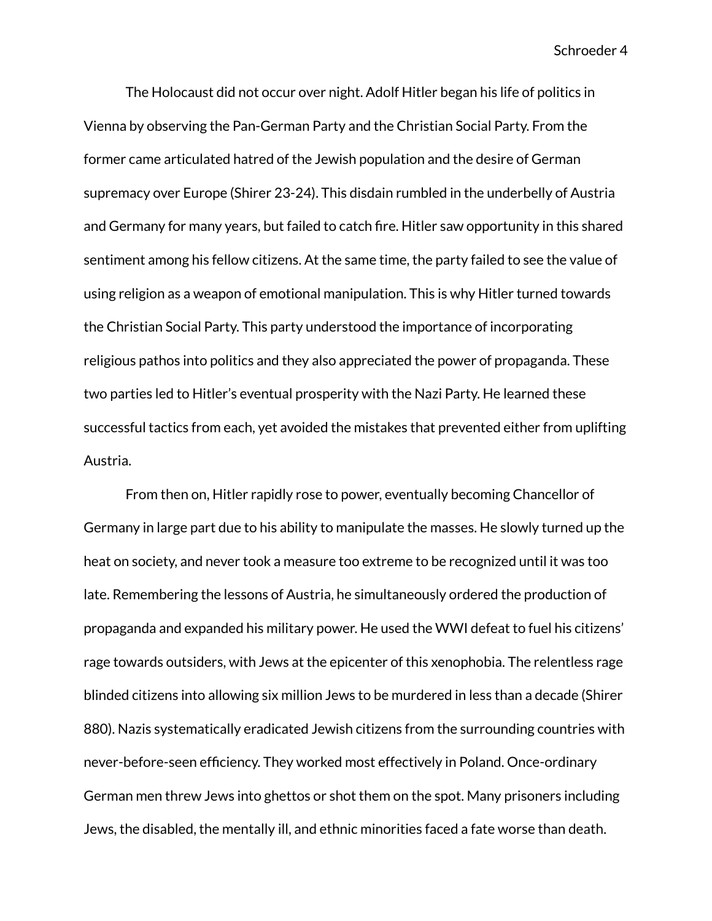The Holocaust did not occur over night. Adolf Hitler began his life of politics in Vienna by observing the Pan-German Party and the Christian Social Party. From the former came articulated hatred of the Jewish population and the desire of German supremacy over Europe (Shirer 23-24). This disdain rumbled in the underbelly of Austria and Germany for many years, but failed to catch fire. Hitler saw opportunity in this shared sentiment among his fellow citizens. At the same time, the party failed to see the value of using religion as a weapon of emotional manipulation. This is why Hitler turned towards the Christian Social Party. This party understood the importance of incorporating religious pathos into politics and they also appreciated the power of propaganda. These two parties led to Hitler's eventual prosperity with the Nazi Party. He learned these successful tactics from each, yet avoided the mistakes that prevented either from uplifting Austria.

From then on, Hitler rapidly rose to power, eventually becoming Chancellor of Germany in large part due to his ability to manipulate the masses. He slowly turned up the heat on society, and never took a measure too extreme to be recognized until it was too late. Remembering the lessons of Austria, he simultaneously ordered the production of propaganda and expanded his military power. He used the WWI defeat to fuel his citizens' rage towards outsiders, with Jews at the epicenter of this xenophobia. The relentless rage blinded citizens into allowing six million Jews to be murdered in less than a decade (Shirer 880). Nazis systematically eradicated Jewish citizens from the surrounding countries with never-before-seen efficiency. They worked most effectively in Poland. Once-ordinary German men threw Jews into ghettos or shot them on the spot. Many prisoners including Jews, the disabled, the mentally ill, and ethnic minorities faced a fate worse than death.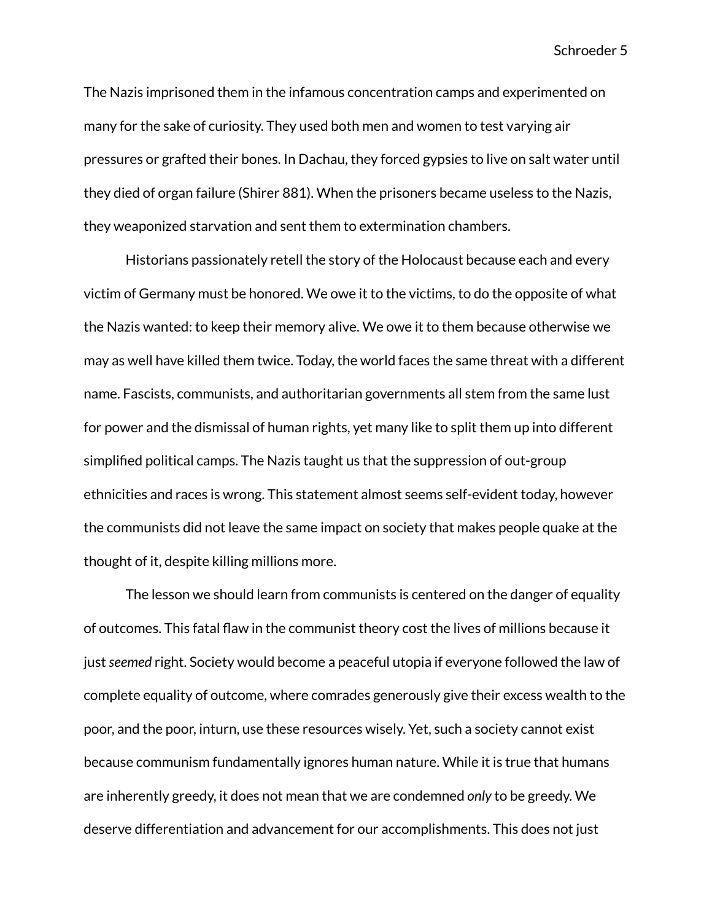The Nazis imprisoned them in the infamous concentration camps and experimented on many for the sake of curiosity. They used both men and women to test varying air pressures or grafted their bones. In Dachau, they forced gypsies to live on salt water until they died of organ failure (Shirer 881). When the prisoners became useless to the Nazis, they weaponized starvation and sent them to extermination chambers.

Historians passionately retell the story of the Holocaust because each and every victim of Germany must be honored. We owe it to the victims, to do the opposite of what the Nazis wanted: to keep their memory alive. We owe it to them because otherwise we may as well have killed them twice. Today, the world faces the same threat with a different name. Fascists, communists, and authoritarian governments all stem from the same lust for power and the dismissal of human rights, yet many like to split them up into different simplified political camps. The Nazis taught us that the suppression of out-group ethnicities and races is wrong. This statement almost seems self-evident today, however the communists did not leave the same impact on society that makes people quake at the thought of it, despite killing millions more.

The lesson we should learn from communists is centered on the danger of equality of outcomes. This fatal flaw in the communist theory cost the lives of millions because it just*seemed* right. Society would become a peaceful utopia if everyone followed the law of complete equality of outcome, where comrades generously give their excess wealth to the poor, and the poor, inturn, use these resources wisely. Yet, such a society cannot exist because communism fundamentally ignores human nature. While it is true that humans are inherently greedy, it does not mean that we are condemned *only* to be greedy. We deserve differentiation and advancement for our accomplishments. This does not just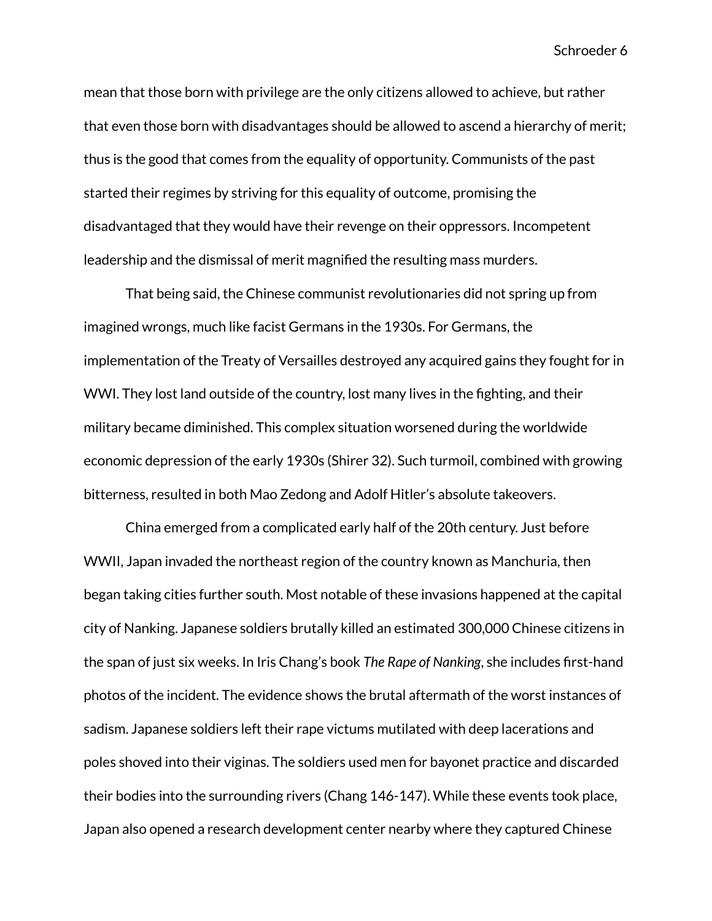mean that those born with privilege are the only citizens allowed to achieve, but rather that even those born with disadvantages should be allowed to ascend a hierarchy of merit; thus is the good that comes from the equality of opportunity. Communists of the past started their regimes by striving for this equality of outcome, promising the disadvantaged that they would have their revenge on their oppressors. Incompetent leadership and the dismissal of merit magnified the resulting mass murders.

That being said, the Chinese communist revolutionaries did not spring up from imagined wrongs, much like facist Germans in the 1930s. For Germans, the implementation of the Treaty of Versailles destroyed any acquired gains they fought for in WWI. They lost land outside of the country, lost many lives in the fighting, and their military became diminished. This complex situation worsened during the worldwide economic depression of the early 1930s (Shirer 32). Such turmoil, combined with growing bitterness, resulted in both Mao Zedong and Adolf Hitler's absolute takeovers.

China emerged from a complicated early half of the 20th century. Just before WWII, Japan invaded the northeast region of the country known as Manchuria, then began taking cities further south. Most notable of these invasions happened at the capital city of Nanking. Japanese soldiers brutally killed an estimated 300,000 Chinese citizens in the span of just six weeks. In Iris Chang's book *The Rape of Nanking*, she includes first-hand photos of the incident. The evidence shows the brutal aftermath of the worst instances of sadism. Japanese soldiers left their rape victums mutilated with deep lacerations and poles shoved into their viginas. The soldiers used men for bayonet practice and discarded their bodies into the surrounding rivers (Chang 146-147). While these events took place, Japan also opened a research development center nearby where they captured Chinese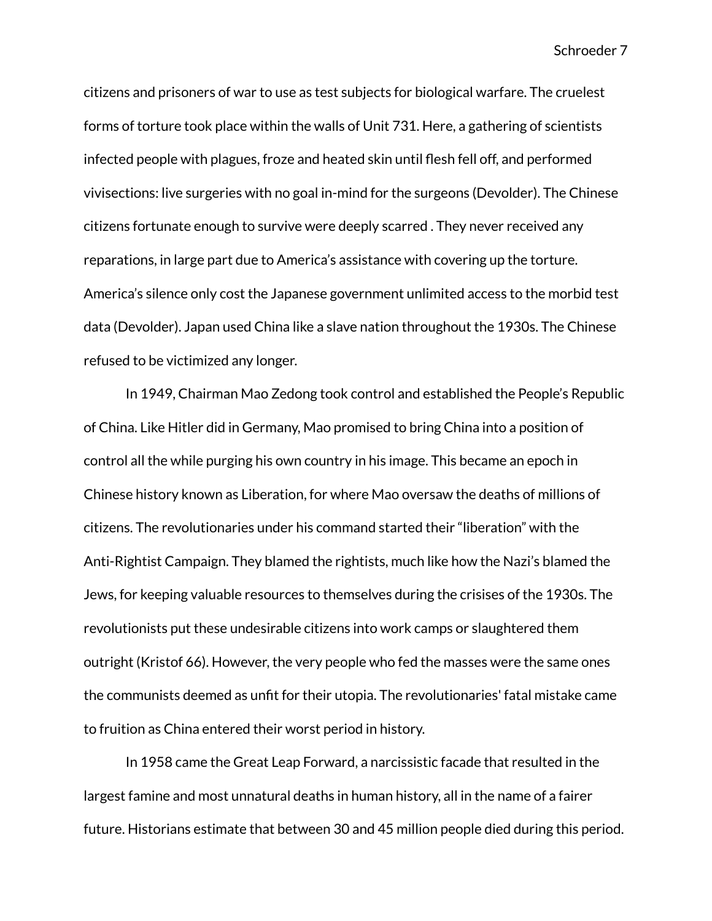citizens and prisoners of war to use as test subjects for biological warfare. The cruelest forms of torture took place within the walls of Unit 731. Here, a gathering of scientists infected people with plagues, froze and heated skin until flesh fell off, and performed vivisections: live surgeries with no goal in-mind for the surgeons (Devolder). The Chinese citizens fortunate enough to survive were deeply scarred . They never received any reparations, in large part due to America's assistance with covering up the torture. America's silence only cost the Japanese government unlimited access to the morbid test data (Devolder). Japan used China like a slave nation throughout the 1930s. The Chinese refused to be victimized any longer.

In 1949, Chairman Mao Zedong took control and established the People's Republic of China. Like Hitler did in Germany, Mao promised to bring China into a position of control all the while purging his own country in his image. This became an epoch in Chinese history known as Liberation, for where Mao oversaw the deaths of millions of citizens. The revolutionaries under his command started their "liberation" with the Anti-Rightist Campaign. They blamed the rightists, much like how the Nazi's blamed the Jews, for keeping valuable resources to themselves during the crisises of the 1930s. The revolutionists put these undesirable citizens into work camps or slaughtered them outright (Kristof 66). However, the very people who fed the masses were the same ones the communists deemed as unfit for their utopia. The revolutionaries' fatal mistake came to fruition as China entered their worst period in history.

In 1958 came the Great Leap Forward, a narcissistic facade that resulted in the largest famine and most unnatural deaths in human history, all in the name of a fairer future. Historians estimate that between 30 and 45 million people died during this period.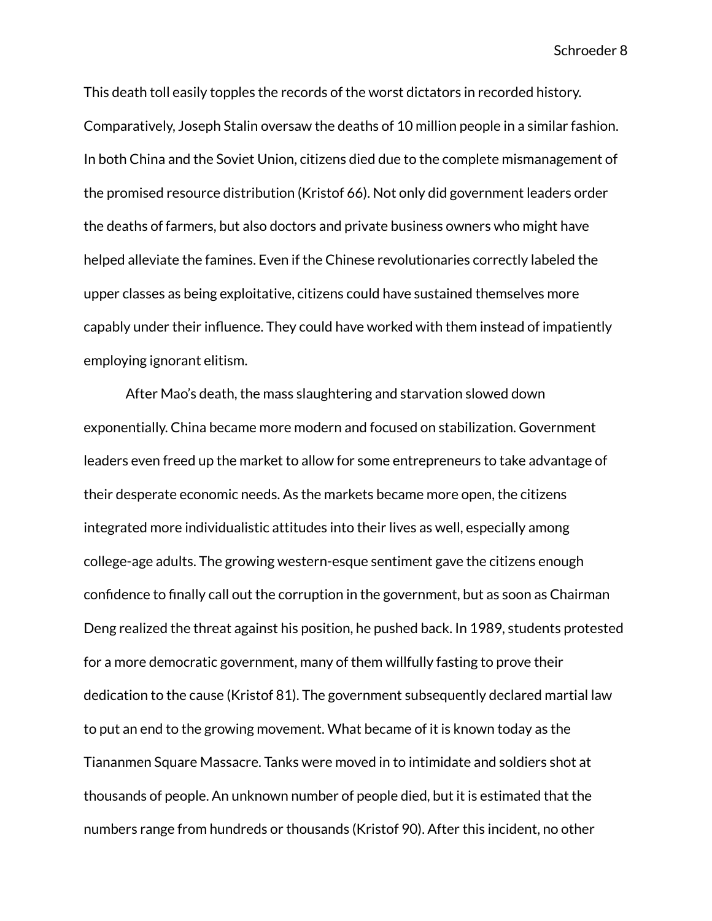This death toll easily topples the records of the worst dictators in recorded history. Comparatively, Joseph Stalin oversaw the deaths of 10 million people in a similar fashion. In both China and the Soviet Union, citizens died due to the complete mismanagement of the promised resource distribution (Kristof 66). Not only did government leaders order the deaths of farmers, but also doctors and private business owners who might have helped alleviate the famines. Even if the Chinese revolutionaries correctly labeled the upper classes as being exploitative, citizens could have sustained themselves more capably under their influence. They could have worked with them instead of impatiently employing ignorant elitism.

After Mao's death, the mass slaughtering and starvation slowed down exponentially. China became more modern and focused on stabilization. Government leaders even freed up the market to allow for some entrepreneurs to take advantage of their desperate economic needs. As the markets became more open, the citizens integrated more individualistic attitudes into their lives as well, especially among college-age adults. The growing western-esque sentiment gave the citizens enough confidence to finally call out the corruption in the government, but as soon as Chairman Deng realized the threat against his position, he pushed back. In 1989, students protested for a more democratic government, many of them willfully fasting to prove their dedication to the cause (Kristof 81). The government subsequently declared martial law to put an end to the growing movement. What became of it is known today as the Tiananmen Square Massacre. Tanks were moved in to intimidate and soldiers shot at thousands of people. An unknown number of people died, but it is estimated that the numbers range from hundreds or thousands (Kristof 90). After this incident, no other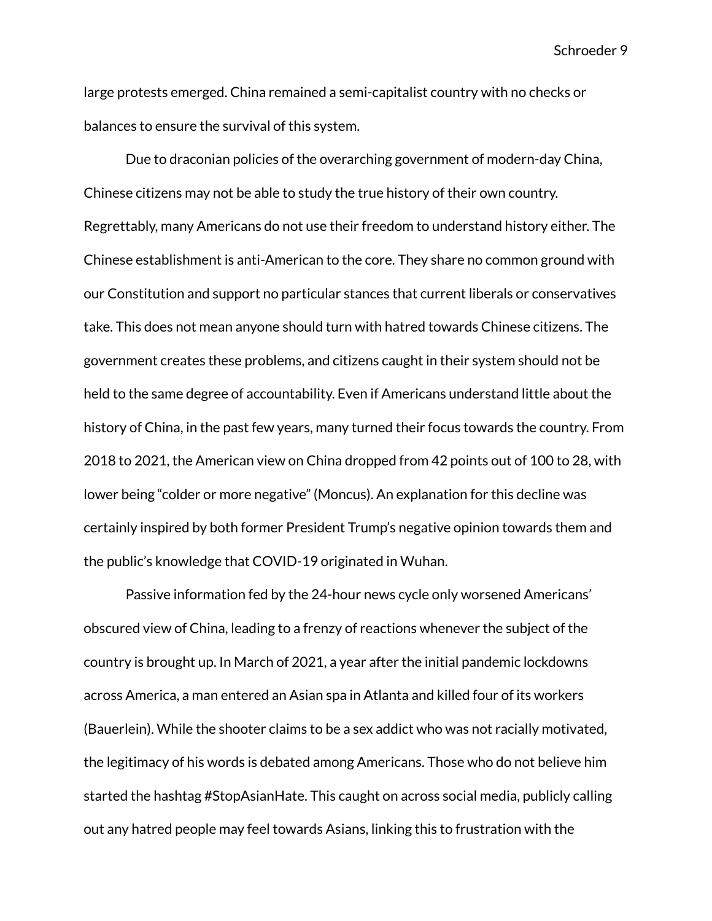large protests emerged. China remained a semi-capitalist country with no checks or balances to ensure the survival of this system.

Due to draconian policies of the overarching government of modern-day China, Chinese citizens may not be able to study the true history of their own country. Regrettably, many Americans do not use their freedom to understand history either. The Chinese establishment is anti-American to the core. They share no common ground with our Constitution and support no particular stances that current liberals or conservatives take. This does not mean anyone should turn with hatred towards Chinese citizens. The government creates these problems, and citizens caught in their system should not be held to the same degree of accountability. Even if Americans understand little about the history of China, in the past few years, many turned their focus towards the country. From 2018 to 2021, the American view on China dropped from 42 points out of 100 to 28, with lower being "colder or more negative" (Moncus). An explanation for this decline was certainly inspired by both former President Trump's negative opinion towards them and the public's knowledge that COVID-19 originated in Wuhan.

Passive information fed by the 24-hour news cycle only worsened Americans' obscured view of China, leading to a frenzy of reactions whenever the subject of the country is brought up. In March of 2021, a year after the initial pandemic lockdowns across America, a man entered an Asian spa in Atlanta and killed four of its workers (Bauerlein). While the shooter claims to be a sex addict who was not racially motivated, the legitimacy of his words is debated among Americans. Those who do not believe him started the hashtag #StopAsianHate. This caught on across social media, publicly calling out any hatred people may feel towards Asians, linking this to frustration with the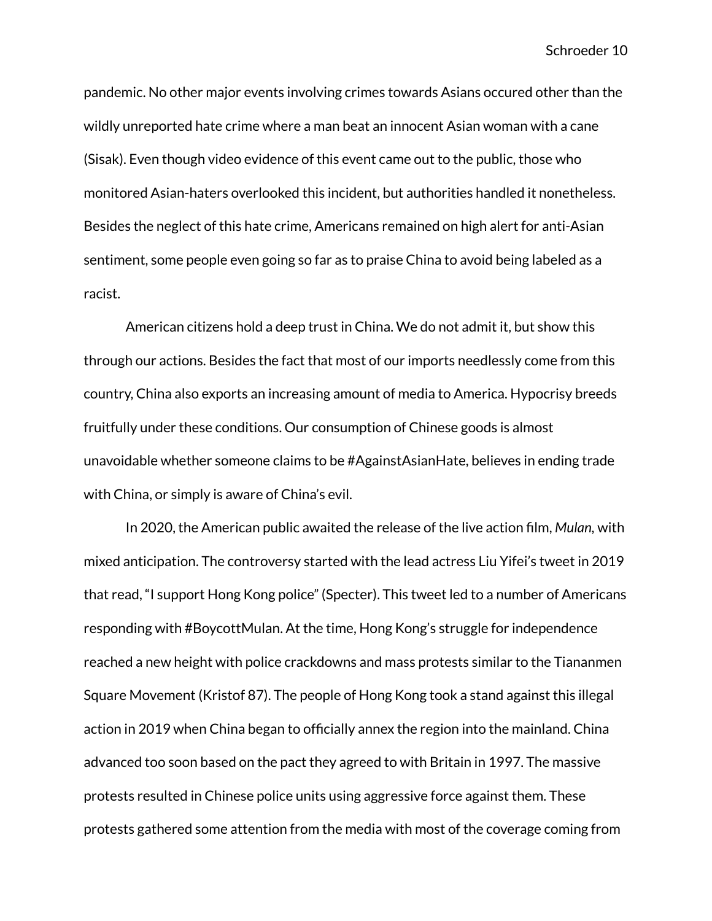pandemic. No other major events involving crimes towards Asians occured other than the wildly unreported hate crime where a man beat an innocent Asian woman with a cane (Sisak). Even though video evidence of this event came out to the public, those who monitored Asian-haters overlooked this incident, but authorities handled it nonetheless. Besides the neglect of this hate crime, Americans remained on high alert for anti-Asian sentiment, some people even going so far as to praise China to avoid being labeled as a racist.

American citizens hold a deep trust in China. We do not admit it, but show this through our actions. Besides the fact that most of our imports needlessly come from this country, China also exports an increasing amount of media to America. Hypocrisy breeds fruitfully under these conditions. Our consumption of Chinese goods is almost unavoidable whether someone claims to be #AgainstAsianHate, believes in ending trade with China, or simply is aware of China's evil.

In 2020, the American public awaited the release of the live action film, *Mulan,* with mixed anticipation. The controversy started with the lead actress Liu Yifei's tweet in 2019 that read, "I support Hong Kong police" (Specter). This tweet led to a number of Americans responding with #BoycottMulan. At the time, Hong Kong's struggle for independence reached a new height with police crackdowns and mass protests similar to the Tiananmen Square Movement (Kristof 87). The people of Hong Kong took a stand against this illegal action in 2019 when China began to officially annex the region into the mainland. China advanced too soon based on the pact they agreed to with Britain in 1997. The massive protests resulted in Chinese police units using aggressive force against them. These protests gathered some attention from the media with most of the coverage coming from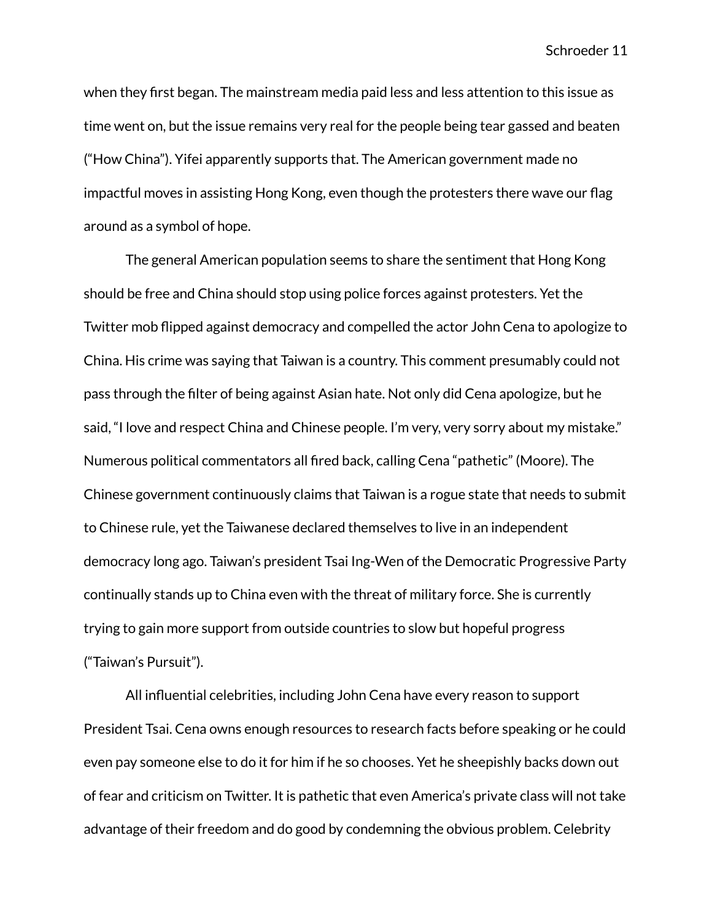when they first began. The mainstream media paid less and less attention to this issue as time went on, but the issue remains very real for the people being tear gassed and beaten ("How China"). Yifei apparently supports that. The American government made no impactful moves in assisting Hong Kong, even though the protesters there wave our flag around as a symbol of hope.

The general American population seems to share the sentiment that Hong Kong should be free and China should stop using police forces against protesters. Yet the Twitter mob flipped against democracy and compelled the actor John Cena to apologize to China. His crime was saying that Taiwan is a country. This comment presumably could not pass through the filter of being against Asian hate. Not only did Cena apologize, but he said, "I love and respect China and Chinese people. I'm very, very sorry about my mistake." Numerous political commentators all fired back, calling Cena "pathetic" (Moore). The Chinese government continuously claims that Taiwan is a rogue state that needs to submit to Chinese rule, yet the Taiwanese declared themselves to live in an independent democracy long ago. Taiwan's president Tsai Ing-Wen of the Democratic Progressive Party continually stands up to China even with the threat of military force. She is currently trying to gain more support from outside countries to slow but hopeful progress ("Taiwan's Pursuit").

All influential celebrities, including John Cena have every reason to support President Tsai. Cena owns enough resources to research facts before speaking or he could even pay someone else to do it for him if he so chooses. Yet he sheepishly backs down out of fear and criticism on Twitter. It is pathetic that even America's private class will not take advantage of their freedom and do good by condemning the obvious problem. Celebrity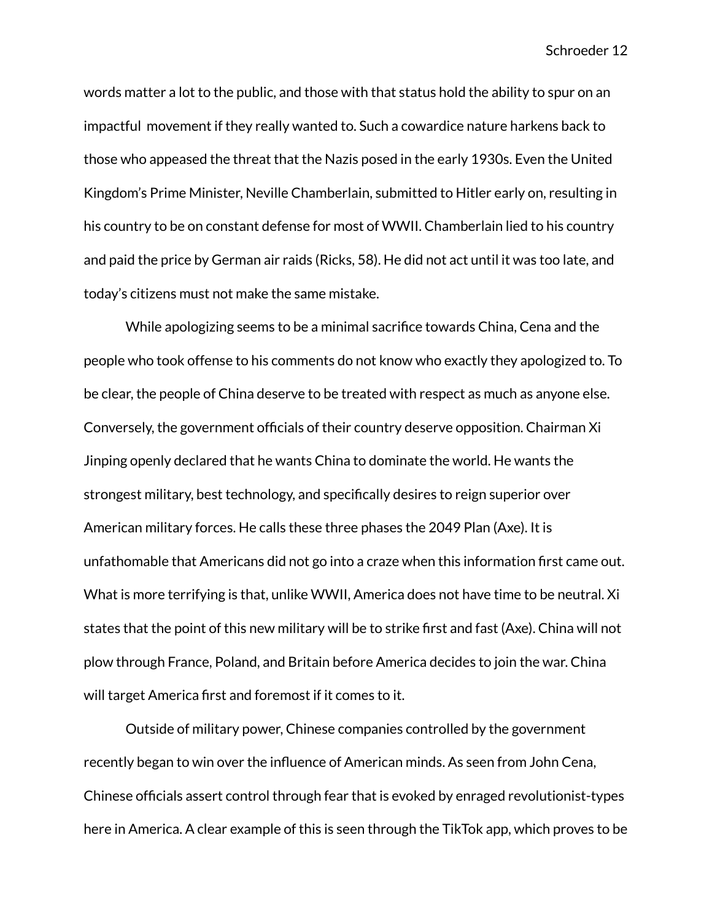words matter a lot to the public, and those with that status hold the ability to spur on an impactful movement if they really wanted to. Such a cowardice nature harkens back to those who appeased the threat that the Nazis posed in the early 1930s. Even the United Kingdom's Prime Minister, Neville Chamberlain, submitted to Hitler early on, resulting in his country to be on constant defense for most of WWII. Chamberlain lied to his country and paid the price by German air raids (Ricks, 58). He did not act until it was too late, and today's citizens must not make the same mistake.

While apologizing seems to be a minimal sacrifice towards China, Cena and the people who took offense to his comments do not know who exactly they apologized to. To be clear, the people of China deserve to be treated with respect as much as anyone else. Conversely, the government officials of their country deserve opposition. Chairman Xi Jinping openly declared that he wants China to dominate the world. He wants the strongest military, best technology, and specifically desires to reign superior over American military forces. He calls these three phases the 2049 Plan (Axe). It is unfathomable that Americans did not go into a craze when this information first came out. What is more terrifying is that, unlike WWII, America does not have time to be neutral. Xi states that the point of this new military will be to strike first and fast (Axe). China will not plow through France, Poland, and Britain before America decides to join the war. China will target America first and foremost if it comes to it.

Outside of military power, Chinese companies controlled by the government recently began to win over the influence of American minds. As seen from John Cena, Chinese officials assert control through fear that is evoked by enraged revolutionist-types here in America. A clear example of this is seen through the TikTok app, which proves to be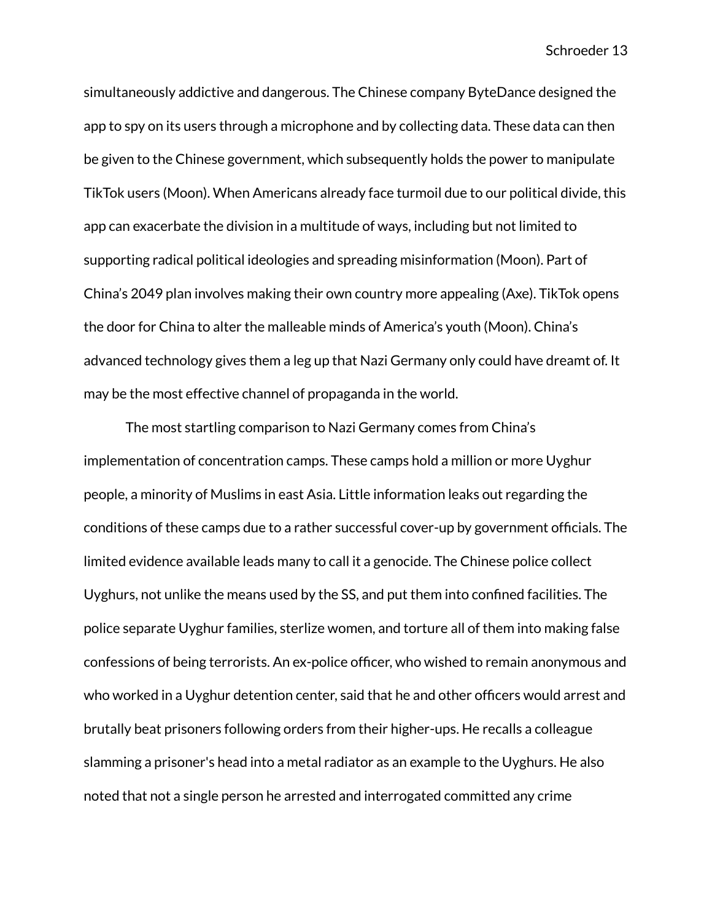simultaneously addictive and dangerous. The Chinese company ByteDance designed the app to spy on its users through a microphone and by collecting data. These data can then be given to the Chinese government, which subsequently holds the power to manipulate TikTok users (Moon). When Americans already face turmoil due to our political divide, this app can exacerbate the division in a multitude of ways, including but not limited to supporting radical political ideologies and spreading misinformation (Moon). Part of China's 2049 plan involves making their own country more appealing (Axe). TikTok opens the door for China to alter the malleable minds of America's youth (Moon). China's advanced technology gives them a leg up that Nazi Germany only could have dreamt of. It may be the most effective channel of propaganda in the world.

The most startling comparison to Nazi Germany comes from China's implementation of concentration camps. These camps hold a million or more Uyghur people, a minority of Muslims in east Asia. Little information leaks out regarding the conditions of these camps due to a rather successful cover-up by government officials. The limited evidence available leads many to call it a genocide. The Chinese police collect Uyghurs, not unlike the means used by the SS, and put them into confined facilities. The police separate Uyghur families, sterlize women, and torture all of them into making false confessions of being terrorists. An ex-police officer, who wished to remain anonymous and who worked in a Uyghur detention center, said that he and other officers would arrest and brutally beat prisoners following orders from their higher-ups. He recalls a colleague slamming a prisoner's head into a metal radiator as an example to the Uyghurs. He also noted that not a single person he arrested and interrogated committed any crime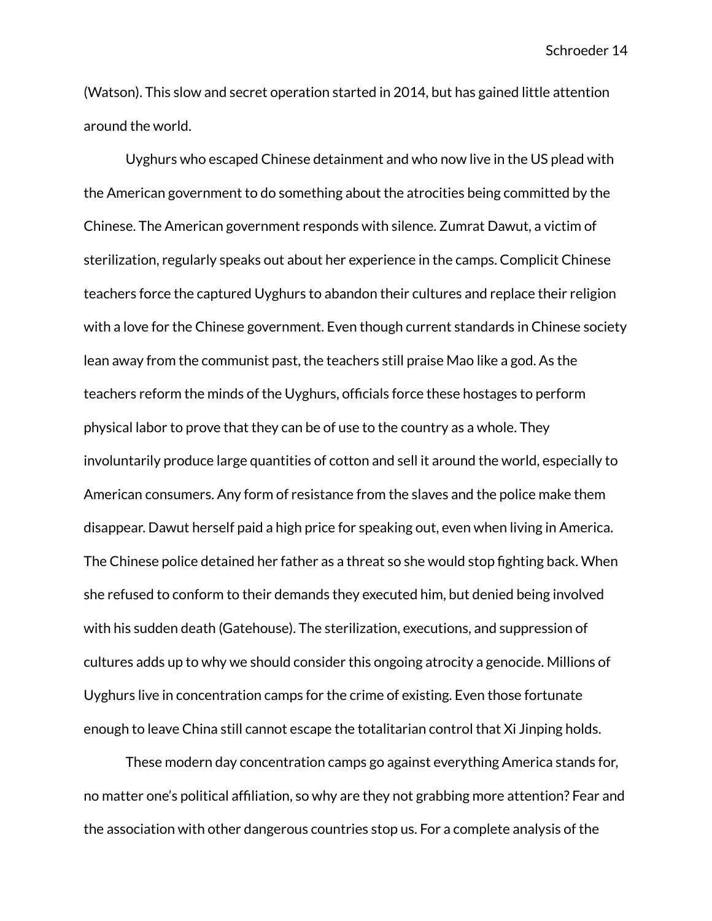(Watson). This slow and secret operation started in 2014, but has gained little attention around the world.

Uyghurs who escaped Chinese detainment and who now live in the US plead with the American government to do something about the atrocities being committed by the Chinese. The American government responds with silence. Zumrat Dawut, a victim of sterilization, regularly speaks out about her experience in the camps. Complicit Chinese teachers force the captured Uyghurs to abandon their cultures and replace their religion with a love for the Chinese government. Even though current standards in Chinese society lean away from the communist past, the teachers still praise Mao like a god. As the teachers reform the minds of the Uyghurs, officials force these hostages to perform physical labor to prove that they can be of use to the country as a whole. They involuntarily produce large quantities of cotton and sell it around the world, especially to American consumers. Any form of resistance from the slaves and the police make them disappear. Dawut herself paid a high price for speaking out, even when living in America. The Chinese police detained her father as a threat so she would stop fighting back. When she refused to conform to their demands they executed him, but denied being involved with his sudden death (Gatehouse). The sterilization, executions, and suppression of cultures adds up to why we should consider this ongoing atrocity a genocide. Millions of Uyghurs live in concentration camps for the crime of existing. Even those fortunate enough to leave China still cannot escape the totalitarian control that Xi Jinping holds.

These modern day concentration camps go against everything America stands for, no matter one's political affiliation, so why are they not grabbing more attention? Fear and the association with other dangerous countries stop us. For a complete analysis of the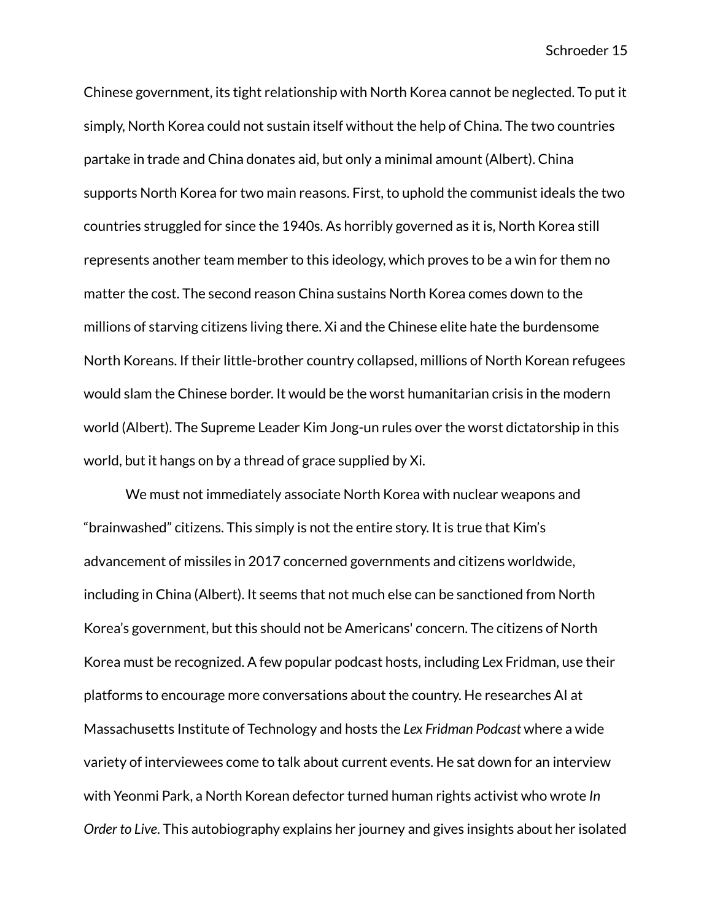Chinese government, its tight relationship with North Korea cannot be neglected. To put it simply, North Korea could not sustain itself without the help of China. The two countries partake in trade and China donates aid, but only a minimal amount (Albert). China supports North Korea for two main reasons. First, to uphold the communist ideals the two countries struggled for since the 1940s. As horribly governed as it is, North Korea still represents another team member to this ideology, which proves to be a win for them no matter the cost. The second reason China sustains North Korea comes down to the millions of starving citizens living there. Xi and the Chinese elite hate the burdensome North Koreans. If their little-brother country collapsed, millions of North Korean refugees would slam the Chinese border. It would be the worst humanitarian crisis in the modern world (Albert). The Supreme Leader Kim Jong-un rules over the worst dictatorship in this world, but it hangs on by a thread of grace supplied by Xi.

We must not immediately associate North Korea with nuclear weapons and "brainwashed" citizens. This simply is not the entire story. It is true that Kim's advancement of missiles in 2017 concerned governments and citizens worldwide, including in China (Albert). It seems that not much else can be sanctioned from North Korea's government, but this should not be Americans' concern. The citizens of North Korea must be recognized. A few popular podcast hosts, including Lex Fridman, use their platforms to encourage more conversations about the country. He researches AI at Massachusetts Institute of Technology and hosts the *Lex Fridman Podcast* where a wide variety of interviewees come to talk about current events. He sat down for an interview with Yeonmi Park, a North Korean defector turned human rights activist who wrote *In Order to Live*. This autobiography explains her journey and gives insights about her isolated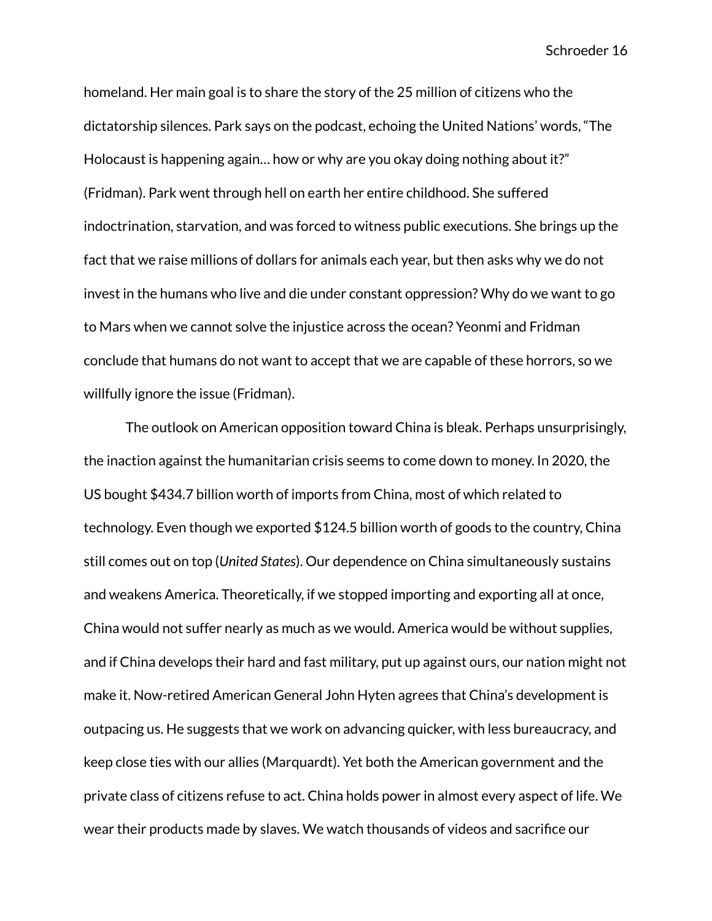homeland. Her main goal is to share the story of the 25 million of citizens who the dictatorship silences. Park says on the podcast, echoing the United Nations' words, "The Holocaust is happening again… how or why are you okay doing nothing about it?" (Fridman). Park went through hell on earth her entire childhood. She suffered indoctrination, starvation, and was forced to witness public executions. She brings up the fact that we raise millions of dollars for animals each year, but then asks why we do not invest in the humans who live and die under constant oppression? Why do we want to go to Mars when we cannot solve the injustice across the ocean? Yeonmi and Fridman conclude that humans do not want to accept that we are capable of these horrors, so we willfully ignore the issue (Fridman).

The outlook on American opposition toward China is bleak. Perhaps unsurprisingly, the inaction against the humanitarian crisis seems to come down to money. In 2020, the US bought \$434.7 billion worth of imports from China, most of which related to technology. Even though we exported \$124.5 billion worth of goods to the country, China still comes out on top (*United States*). Our dependence on China simultaneously sustains and weakens America. Theoretically, if we stopped importing and exporting all at once, China would not suffer nearly as much as we would. America would be without supplies, and if China develops their hard and fast military, put up against ours, our nation might not make it. Now-retired American General John Hyten agrees that China's development is outpacing us. He suggests that we work on advancing quicker, with less bureaucracy, and keep close ties with our allies (Marquardt). Yet both the American government and the private class of citizens refuse to act. China holds power in almost every aspect of life. We wear their products made by slaves. We watch thousands of videos and sacrifice our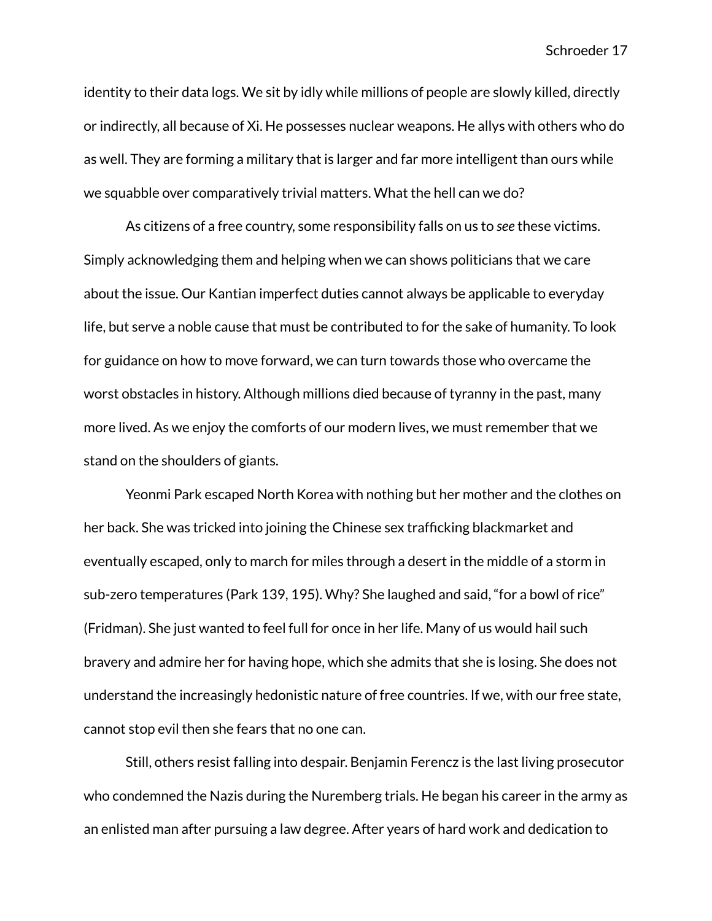identity to their data logs. We sit by idly while millions of people are slowly killed, directly or indirectly, all because of Xi. He possesses nuclear weapons. He allys with others who do as well. They are forming a military that is larger and far more intelligent than ours while we squabble over comparatively trivial matters. What the hell can we do?

As citizens of a free country, some responsibility falls on us to *see* these victims. Simply acknowledging them and helping when we can shows politicians that we care about the issue. Our Kantian imperfect duties cannot always be applicable to everyday life, but serve a noble cause that must be contributed to for the sake of humanity. To look for guidance on how to move forward, we can turn towards those who overcame the worst obstacles in history. Although millions died because of tyranny in the past, many more lived. As we enjoy the comforts of our modern lives, we must remember that we stand on the shoulders of giants.

Yeonmi Park escaped North Korea with nothing but her mother and the clothes on her back. She was tricked into joining the Chinese sex trafficking blackmarket and eventually escaped, only to march for miles through a desert in the middle of a storm in sub-zero temperatures (Park 139, 195). Why? She laughed and said, "for a bowl of rice" (Fridman). She just wanted to feel full for once in her life. Many of us would hail such bravery and admire her for having hope, which she admits that she is losing. She does not understand the increasingly hedonistic nature of free countries. If we, with our free state, cannot stop evil then she fears that no one can.

Still, others resist falling into despair. Benjamin Ferencz is the last living prosecutor who condemned the Nazis during the Nuremberg trials. He began his career in the army as an enlisted man after pursuing a law degree. After years of hard work and dedication to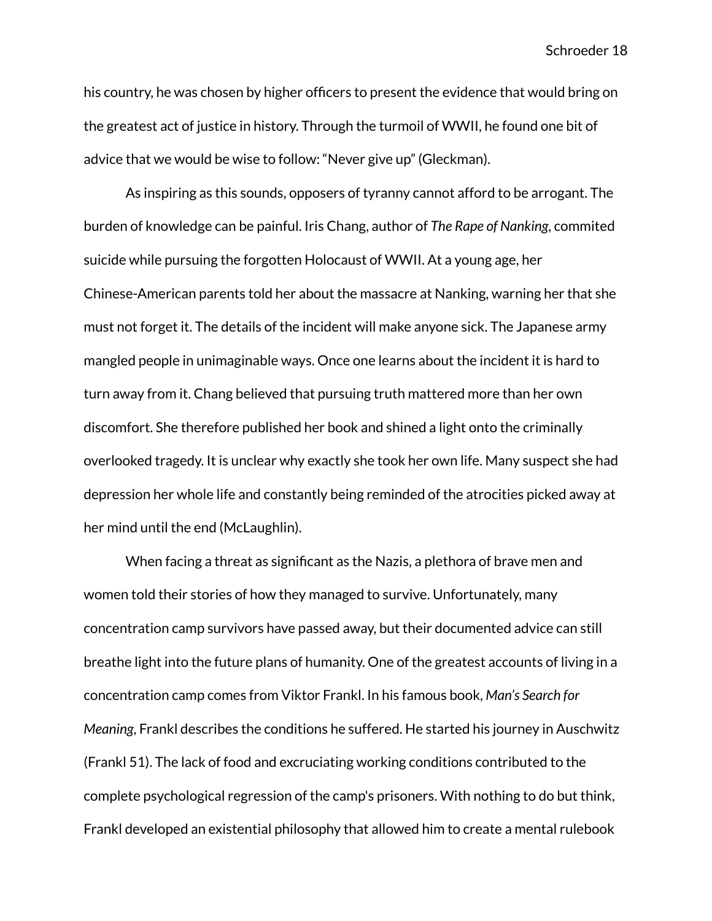his country, he was chosen by higher officers to present the evidence that would bring on the greatest act of justice in history. Through the turmoil of WWII, he found one bit of advice that we would be wise to follow: "Never give up" (Gleckman).

As inspiring as this sounds, opposers of tyranny cannot afford to be arrogant. The burden of knowledge can be painful. Iris Chang, author of *The Rape of Nanking*, commited suicide while pursuing the forgotten Holocaust of WWII. At a young age, her Chinese-American parents told her about the massacre at Nanking, warning her that she must not forget it. The details of the incident will make anyone sick. The Japanese army mangled people in unimaginable ways. Once one learns about the incident it is hard to turn away from it. Chang believed that pursuing truth mattered more than her own discomfort. She therefore published her book and shined a light onto the criminally overlooked tragedy. It is unclear why exactly she took her own life. Many suspect she had depression her whole life and constantly being reminded of the atrocities picked away at her mind until the end (McLaughlin).

When facing a threat as significant as the Nazis, a plethora of brave men and women told their stories of how they managed to survive. Unfortunately, many concentration camp survivors have passed away, but their documented advice can still breathe light into the future plans of humanity. One of the greatest accounts of living in a concentration camp comes from Viktor Frankl. In his famous book, *Man's Search for Meaning*, Frankl describes the conditions he suffered. He started his journey in Auschwitz (Frankl 51). The lack of food and excruciating working conditions contributed to the complete psychological regression of the camp's prisoners. With nothing to do but think, Frankl developed an existential philosophy that allowed him to create a mental rulebook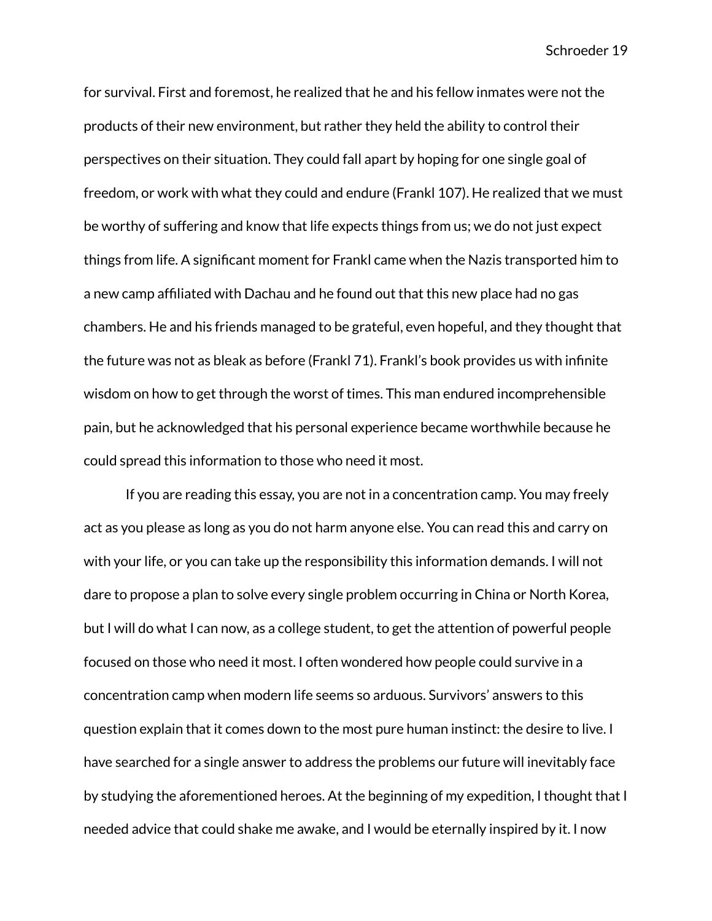for survival. First and foremost, he realized that he and his fellow inmates were not the products of their new environment, but rather they held the ability to control their perspectives on their situation. They could fall apart by hoping for one single goal of freedom, or work with what they could and endure (Frankl 107). He realized that we must be worthy of suffering and know that life expects things from us; we do not just expect things from life. A significant moment for Frankl came when the Nazis transported him to a new camp affiliated with Dachau and he found out that this new place had no gas chambers. He and his friends managed to be grateful, even hopeful, and they thought that the future was not as bleak as before (Frankl 71). Frankl's book provides us with infinite wisdom on how to get through the worst of times. This man endured incomprehensible pain, but he acknowledged that his personal experience became worthwhile because he could spread this information to those who need it most.

If you are reading this essay, you are not in a concentration camp. You may freely act as you please as long as you do not harm anyone else. You can read this and carry on with your life, or you can take up the responsibility this information demands. I will not dare to propose a plan to solve every single problem occurring in China or North Korea, but I will do what I can now, as a college student, to get the attention of powerful people focused on those who need it most. I often wondered how people could survive in a concentration camp when modern life seems so arduous. Survivors' answers to this question explain that it comes down to the most pure human instinct: the desire to live. I have searched for a single answer to address the problems our future will inevitably face by studying the aforementioned heroes. At the beginning of my expedition, I thought that I needed advice that could shake me awake, and I would be eternally inspired by it. I now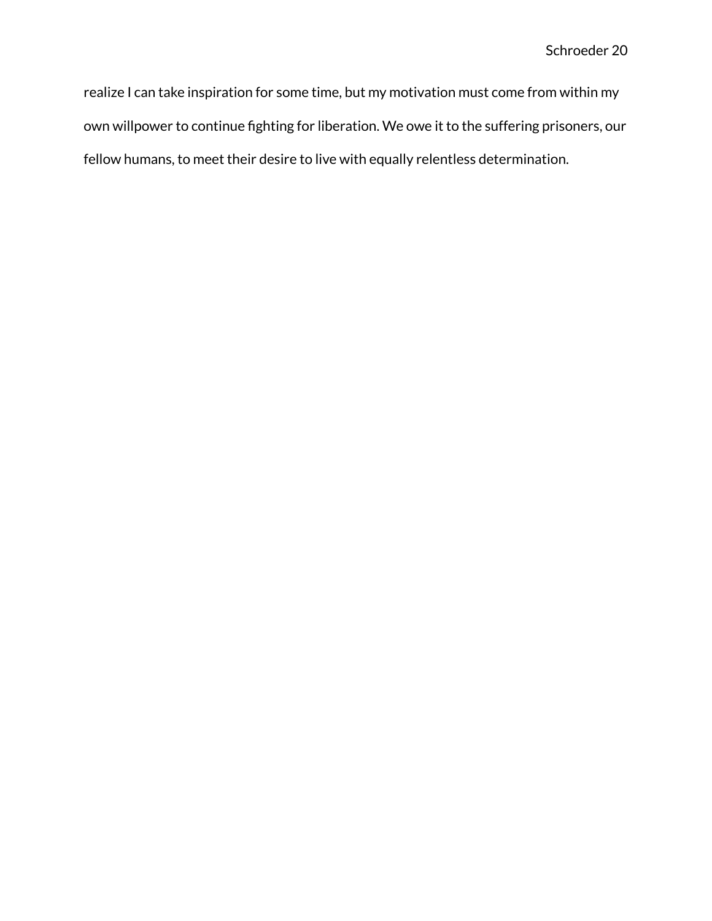realize I can take inspiration for some time, but my motivation must come from within my own willpower to continue fighting for liberation. We owe it to the suffering prisoners, our fellow humans, to meet their desire to live with equally relentless determination.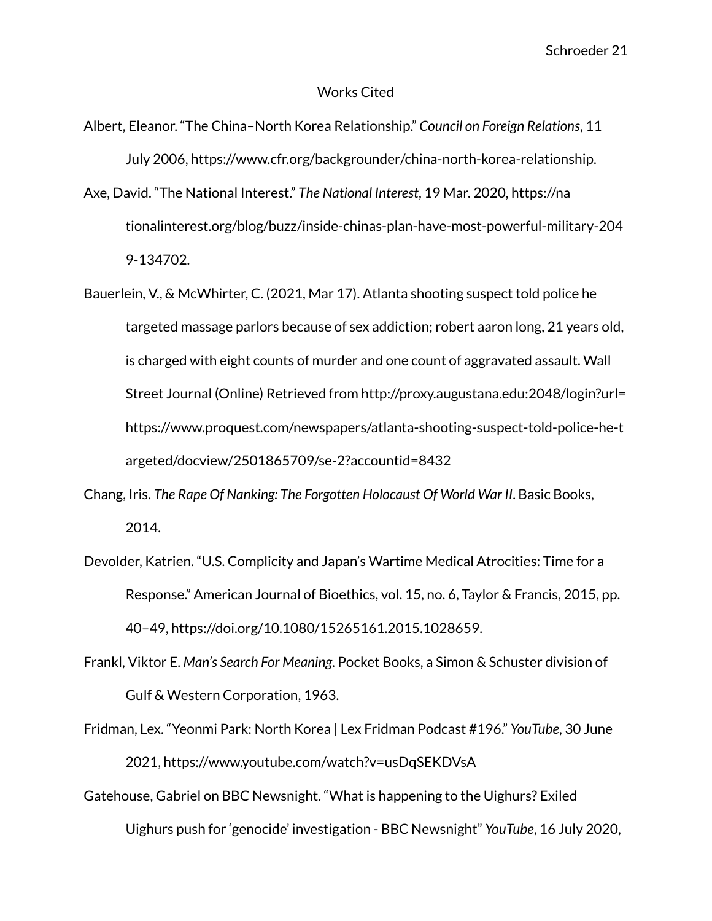#### Works Cited

- Albert, Eleanor. "The China–North Korea Relationship." *Council on Foreign Relations*, 11 July 2006, https://www.cfr.org/backgrounder/china-north-korea-relationship.
- Axe, David. "The National Interest." *The National Interest*, 19 Mar. 2020, https://na tionalinterest.org/blog/buzz/inside-chinas-plan-have-most-powerful-military-204 9-134702.
- Bauerlein, V., & McWhirter, C. (2021, Mar 17). Atlanta shooting suspect told police he targeted massage parlors because of sex addiction; robert aaron long, 21 years old, is charged with eight counts of murder and one count of aggravated assault. Wall Street Journal (Online) Retrieved from http://proxy.augustana.edu:2048/login?url= https://www.proquest.com/newspapers/atlanta-shooting-suspect-told-police-he-t argeted/docview/2501865709/se-2?accountid=8432
- Chang, Iris. *The Rape Of Nanking: The Forgotten Holocaust Of World War II*. Basic Books, 2014.
- Devolder, Katrien. "U.S. Complicity and Japan's Wartime Medical Atrocities: Time for a Response." American Journal of Bioethics, vol. 15, no. 6, Taylor & Francis, 2015, pp. 40–49, https://doi.org/10.1080/15265161.2015.1028659.
- Frankl, Viktor E. *Man's Search For Meaning*. Pocket Books, a Simon & Schuster division of Gulf & Western Corporation, 1963.
- Fridman, Lex. "Yeonmi Park: North Korea | Lex Fridman Podcast #196." *YouTube*, 30 June 2021, https://www.youtube.com/watch?v=usDqSEKDVsA
- Gatehouse, Gabriel on BBC Newsnight. "What is happening to the Uighurs? Exiled Uighurs push for 'genocide' investigation - BBC Newsnight" *YouTube*, 16 July 2020,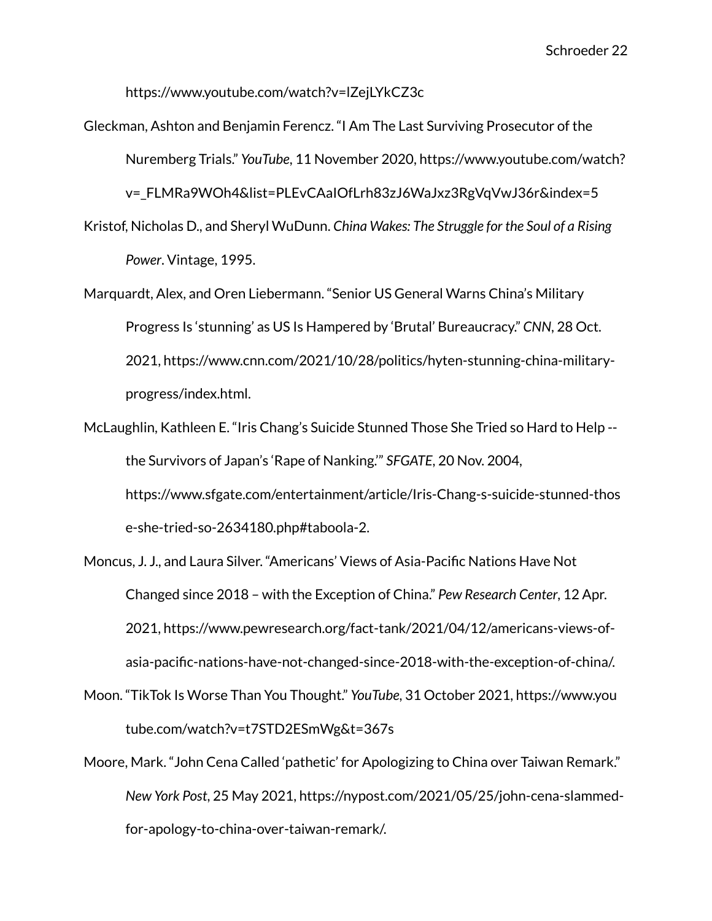https://www.youtube.com/watch?v=lZejLYkCZ3c

Gleckman, Ashton and Benjamin Ferencz. "I Am The Last Surviving Prosecutor of the Nuremberg Trials." *YouTube*, 11 November 2020, https://www.youtube.com/watch? v= FLMRa9WOh4&list=PLEvCAaIOfLrh83zJ6WaJxz3RgVqVwJ36r&index=5 Kristof, Nicholas D., and Sheryl WuDunn. *China Wakes: The Struggle for the Soul of a Rising*

*Power*. Vintage, 1995.

- Marquardt, Alex, and Oren Liebermann. "Senior US General Warns China's Military Progress Is 'stunning' as US Is Hampered by 'Brutal' Bureaucracy." *CNN*, 28 Oct. 2021, https://www.cnn.com/2021/10/28/politics/hyten-stunning-china-militaryprogress/index.html.
- McLaughlin, Kathleen E. "Iris Chang's Suicide Stunned Those She Tried so Hard to Help the Survivors of Japan's 'Rape of Nanking.'" *SFGATE*, 20 Nov. 2004, https://www.sfgate.com/entertainment/article/Iris-Chang-s-suicide-stunned-thos e-she-tried-so-2634180.php#taboola-2.
- Moncus, J. J., and Laura Silver. "Americans' Views of Asia-Pacific Nations Have Not Changed since 2018 – with the Exception of China." *Pew Research Center*, 12 Apr. 2021, https://www.pewresearch.org/fact-tank/2021/04/12/americans-views-ofasia-pacific-nations-have-not-changed-since-2018-with-the-exception-of-china/.
- Moon. "TikTok Is Worse Than You Thought." *YouTube*, 31 October 2021, https://www.you tube.com/watch?v=t7STD2ESmWg&t=367s
- Moore, Mark. "John Cena Called 'pathetic' for Apologizing to China over Taiwan Remark." *New York Post*, 25 May 2021, https://nypost.com/2021/05/25/john-cena-slammedfor-apology-to-china-over-taiwan-remark/.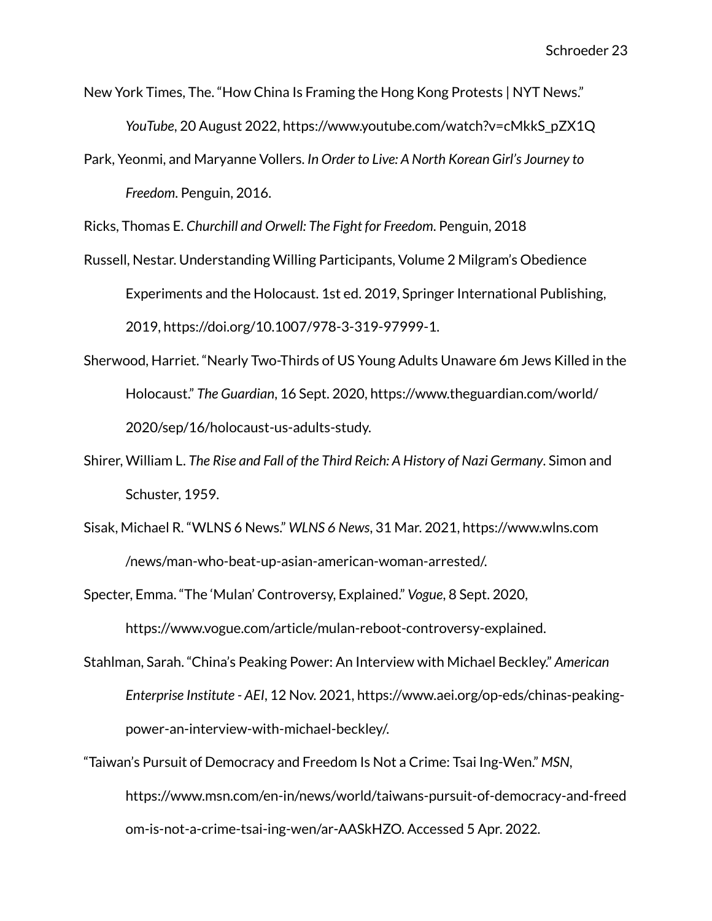- New York Times, The. "How China Is Framing the Hong Kong Protests | NYT News." *YouTube*, 20 August 2022, https://www.youtube.com/watch?v=cMkkS\_pZX1Q
- Park, Yeonmi, and Maryanne Vollers. *In Order to Live: A North Korean Girl's Journey to Freedom*. Penguin, 2016.

Ricks, Thomas E. *Churchill and Orwell: The Fight for Freedom*. Penguin, 2018

- Russell, Nestar. Understanding Willing Participants, Volume 2 Milgram's Obedience Experiments and the Holocaust. 1st ed. 2019, Springer International Publishing, 2019, https://doi.org/10.1007/978-3-319-97999-1.
- Sherwood, Harriet. "Nearly Two-Thirds of US Young Adults Unaware 6m Jews Killed in the Holocaust." *The Guardian*, 16 Sept. 2020, https://www.theguardian.com/world/ 2020/sep/16/holocaust-us-adults-study.
- Shirer, William L. *The Rise and Fall of the Third Reich: A History of Nazi Germany*. Simon and Schuster, 1959.
- Sisak, Michael R. "WLNS 6 News." *WLNS 6 News*, 31 Mar. 2021, https://www.wlns.com /news/man-who-beat-up-asian-american-woman-arrested/.

Specter, Emma. "The 'Mulan' Controversy, Explained." *Vogue*, 8 Sept. 2020,

https://www.vogue.com/article/mulan-reboot-controversy-explained.

- Stahlman, Sarah. "China's Peaking Power: An Interview with Michael Beckley." *American Enterprise Institute - AEI*, 12 Nov. 2021, https://www.aei.org/op-eds/chinas-peakingpower-an-interview-with-michael-beckley/.
- "Taiwan's Pursuit of Democracy and Freedom Is Not a Crime: Tsai Ing-Wen." *MSN*, https://www.msn.com/en-in/news/world/taiwans-pursuit-of-democracy-and-freed om-is-not-a-crime-tsai-ing-wen/ar-AASkHZO. Accessed 5 Apr. 2022.